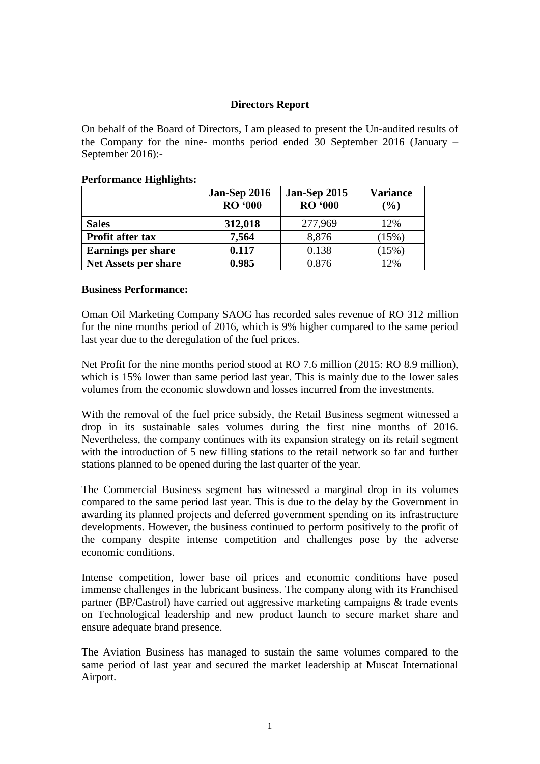## **Directors Report**

On behalf of the Board of Directors, I am pleased to present the Un-audited results of the Company for the nine- months period ended 30 September 2016 (January – September 2016):-

# **Jan-Sep 2016 Jan-Sep 2015 Variance RO '000 RO '000 (%) Sales 312,018** 277,969 12% **Profit after tax 7,564** 8,876 (15%) **Earnings per share 0.117** 1 0.138 1 (15%) **Net Assets per share 10.985** 0.876 12%

## **Performance Highlights:**

#### **Business Performance:**

Oman Oil Marketing Company SAOG has recorded sales revenue of RO 312 million for the nine months period of 2016, which is 9% higher compared to the same period last year due to the deregulation of the fuel prices.

Net Profit for the nine months period stood at RO 7.6 million (2015: RO 8.9 million), which is 15% lower than same period last year. This is mainly due to the lower sales volumes from the economic slowdown and losses incurred from the investments.

With the removal of the fuel price subsidy, the Retail Business segment witnessed a drop in its sustainable sales volumes during the first nine months of 2016. Nevertheless, the company continues with its expansion strategy on its retail segment with the introduction of 5 new filling stations to the retail network so far and further stations planned to be opened during the last quarter of the year.

The Commercial Business segment has witnessed a marginal drop in its volumes compared to the same period last year. This is due to the delay by the Government in awarding its planned projects and deferred government spending on its infrastructure developments. However, the business continued to perform positively to the profit of the company despite intense competition and challenges pose by the adverse economic conditions.

Intense competition, lower base oil prices and economic conditions have posed immense challenges in the lubricant business. The company along with its Franchised partner (BP/Castrol) have carried out aggressive marketing campaigns & trade events on Technological leadership and new product launch to secure market share and ensure adequate brand presence.

The Aviation Business has managed to sustain the same volumes compared to the same period of last year and secured the market leadership at Muscat International Airport.